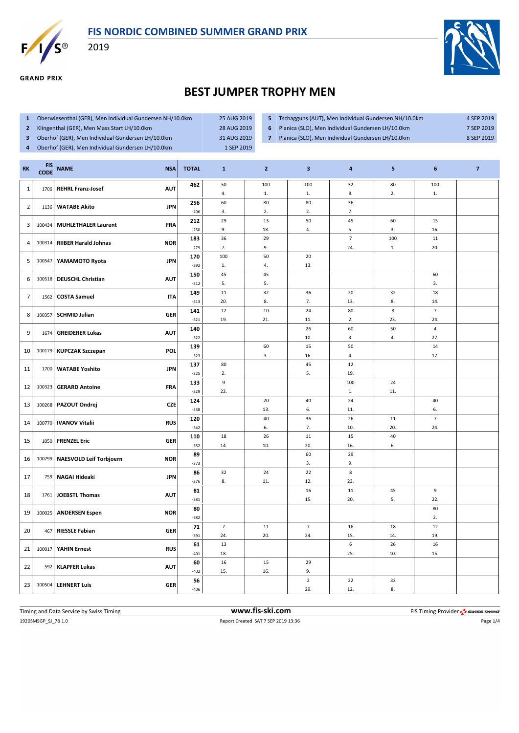



**GRAND PRIX** 

2019



## **BEST JUMPER TROPHY MEN**

- **1** Oberwiesenthal (GER), Men Individual Gundersen NH/10.0km 25 AUG 2019
- **2** Klingenthal (GER), Men Mass Start LH/10.0km 28 AUG 2019
- **3** Oberhof (GER), Men Individual Gundersen LH/10.0km 31 AUG 2019
- **4** Oberhof (GER), Men Individual Gundersen LH/10.0km 1 SEP 2019
- **5** Tschagguns (AUT), Men Individual Gundersen NH/10.0km 4 SEP 2019
- **6** Planica (SLO), Men Individual Gundersen LH/10.0km 7 SEP 2019
- 
- **7** Planica (SLO), Men Individual Gundersen LH/10.0km 8 SEP 2019

| <b>RK</b>      | <b>FIS</b><br><b>CODE</b> | <b>NAME</b>                    | <b>NSA</b> | <b>TOTAL</b>  | $\mathbf{1}$   | $\overline{2}$ | $\mathbf{3}$   | $\overline{\mathbf{4}}$ | 5           | 6                     | $\overline{7}$ |
|----------------|---------------------------|--------------------------------|------------|---------------|----------------|----------------|----------------|-------------------------|-------------|-----------------------|----------------|
| $\mathbf 1$    | 1706                      | <b>REHRL Franz-Josef</b>       | <b>AUT</b> | 462           | 50<br>4.       | 100<br>1.      | 100<br>1.      | 32<br>8.                | 80<br>2.    | 100<br>1.             |                |
|                |                           |                                |            | 256           | 60             | 80             | 80             | 36                      |             |                       |                |
| $\overline{2}$ | 1136                      | <b>WATABE Akito</b>            | <b>JPN</b> | $-206$        | 3.             | 2.             | 2.             | 7.                      |             |                       |                |
| 3              | 100434                    | <b>MUHLETHALER Laurent</b>     | <b>FRA</b> | 212           | 29             | 13             | 50             | 45                      | 60          | 15                    |                |
|                |                           |                                |            | $-250$        | 9.             | 18.            | 4.             | 5.                      | 3.          | 16.                   |                |
| 4              | 100314                    | <b>RIIBER Harald Johnas</b>    | <b>NOR</b> | 183           | 36             | 29             |                | $\overline{7}$          | 100         | 11                    |                |
|                |                           |                                |            | $-279$<br>170 | 7.<br>100      | 9.<br>50       | 20             | 24.                     | 1.          | 20.                   |                |
| 5              | 100547                    | YAMAMOTO Ryota                 | <b>JPN</b> | $-292$        | 1.             | 4.             | 13.            |                         |             |                       |                |
|                |                           |                                |            | 150           | 45             | 45             |                |                         |             | 60                    |                |
| 6              | 100518                    | <b>DEUSCHL Christian</b>       | <b>AUT</b> | $-312$        | 5.             | 5.             |                |                         |             | 3.                    |                |
| $\overline{7}$ | 1562                      | <b>COSTA Samuel</b>            | <b>ITA</b> | 149           | $11\,$         | 32             | 36             | 20                      | 32          | $18\,$                |                |
|                |                           |                                |            | $-313$        | 20.            | 8.             | 7.             | 13.                     | 8.          | 14.                   |                |
| 8              | 100357                    | <b>SCHMID Julian</b>           | <b>GER</b> | 141           | 12             | 10             | 24             | 80                      | $\,$ 8 $\,$ | $\overline{7}$        |                |
|                |                           |                                |            | $-321$        | 19.            | 21.            | 11.            | 2.                      | 23.         | 24.                   |                |
| 9              | 1674                      | <b>GREIDERER Lukas</b>         | <b>AUT</b> | 140           |                |                | 26             | 60                      | 50          | $\overline{4}$        |                |
|                |                           |                                |            | $-322$<br>139 |                | 60             | 10.<br>15      | 3.<br>50                | 4.          | 27.<br>14             |                |
| 10             | 100179                    | <b>KUPCZAK Szczepan</b>        | <b>POL</b> | $-323$        |                | 3.             | 16.            | 4.                      |             | 17.                   |                |
|                |                           |                                |            | 137           | 80             |                | 45             | 12                      |             |                       |                |
| 11             | 1700                      | <b>WATABE Yoshito</b>          | <b>JPN</b> | $-325$        | 2.             |                | 5.             | 19.                     |             |                       |                |
| 12             | 100323                    | <b>GERARD Antoine</b>          | <b>FRA</b> | 133           | $\,9$          |                |                | 100                     | 24          |                       |                |
|                |                           |                                |            | $-329$        | 22.            |                |                | 1.                      | 11.         |                       |                |
| 13             |                           | 100268 PAZOUT Ondrej           | <b>CZE</b> | 124           |                | 20             | 40             | 24                      |             | 40                    |                |
|                |                           |                                |            | $-338$        |                | 13.            | 6.             | 11.                     |             | 6.                    |                |
| 14             | 100779                    | <b>IVANOV Vitalii</b>          | <b>RUS</b> | 120           |                | 40<br>6.       | 36<br>7.       | 26<br>10.               | 11<br>20.   | $\overline{7}$<br>24. |                |
|                |                           |                                |            | $-342$<br>110 | 18             | 26             | $11\,$         | 15                      | 40          |                       |                |
| 15             | 1050                      | <b>FRENZEL Eric</b>            | <b>GER</b> | $-352$        | 14.            | 10.            | 20.            | 16.                     | 6.          |                       |                |
|                |                           |                                |            | 89            |                |                | 60             | 29                      |             |                       |                |
| 16             | 100799                    | <b>NAESVOLD Leif Torbjoern</b> | <b>NOR</b> | $-373$        |                |                | 3.             | 9.                      |             |                       |                |
| 17             | 759                       | <b>NAGAI Hideaki</b>           | <b>JPN</b> | 86            | 32             | 24             | 22             | 8                       |             |                       |                |
|                |                           |                                |            | $-376$        | 8.             | 11.            | 12.            | 23.                     |             |                       |                |
| 18             | 1761                      | <b>JOEBSTL Thomas</b>          | <b>AUT</b> | 81            |                |                | 16             | 11                      | 45          | 9                     |                |
|                |                           |                                |            | $-381$        |                |                | 15.            | 20.                     | 5.          | 22.<br>80             |                |
| 19             |                           | 100025 ANDERSEN Espen          | <b>NOR</b> | 80<br>$-382$  |                |                |                |                         |             | 2.                    |                |
|                |                           |                                |            | 71            | $\overline{7}$ | 11             | $\overline{7}$ | 16                      | 18          | 12                    |                |
| 20             | 467                       | <b>RIESSLE Fabian</b>          | <b>GER</b> | $-391$        | 24.            | 20.            | 24.            | 15.                     | 14.         | 19.                   |                |
|                |                           |                                |            | 61            | 13             |                |                | $\,6\,$                 | 26          | 16                    |                |
| 21             | 100017                    | <b>YAHIN Ernest</b>            | <b>RUS</b> | $-401$        | 18.            |                |                | 25.                     | 10.         | 15.                   |                |
| 22             | 592                       | <b>KLAPFER Lukas</b>           | <b>AUT</b> | 60            | 16             | 15             | 29             |                         |             |                       |                |
|                |                           |                                |            | $-402$        | 15.            | 16.            | 9.             |                         |             |                       |                |
| 23             |                           | 100504 LEHNERT Luis            | <b>GER</b> | 56            |                |                | $\mathbf 2$    | 22                      | 32          |                       |                |
|                |                           |                                |            | $-406$        |                |                | 29.            | 12.                     | 8.          |                       |                |

Timing and Data Service by Swiss Timing **www.fis-ski.com www.fis-ski.com** FIS Timing Provider  $\frac{7}{2}$  SWISS TIMING

1920SMSGP\_SJ\_78 1.0 Report Created SAT 7 SEP 2019 13:36 Page 1/4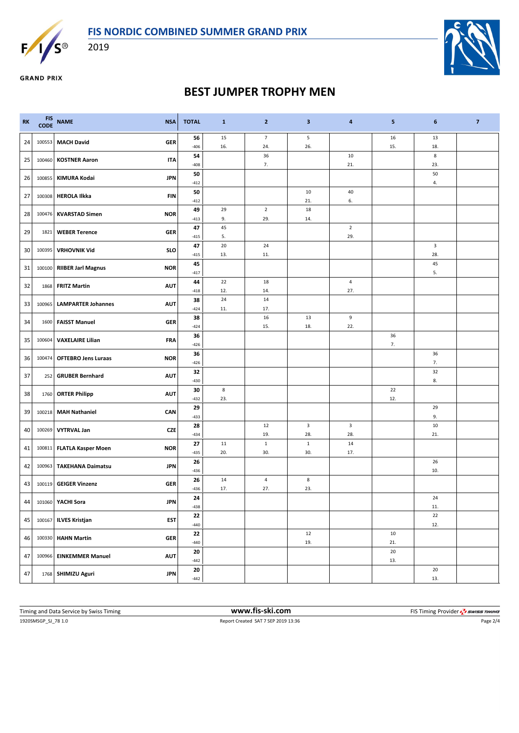

2019



**GRAND PRIX** 

## **BEST JUMPER TROPHY MEN**

| <b>RK</b> | ${\color{red} \mathsf{FIS}}\\{\color{red} \mathsf{CODE}}$ | <b>NAME</b><br><b>NSA</b>                | <b>TOTAL</b>         | $\mathbf{1}$ | $\mathbf{2}$          | 3                   | 4                       | 5             | 6             | $\overline{\mathbf{z}}$ |
|-----------|-----------------------------------------------------------|------------------------------------------|----------------------|--------------|-----------------------|---------------------|-------------------------|---------------|---------------|-------------------------|
| 24        | 100553                                                    | <b>MACH David</b><br><b>GER</b>          | 56<br>$-406$         | 15<br>16.    | $\overline{7}$<br>24. | 5<br>26.            |                         | 16<br>15.     | 13<br>18.     |                         |
| 25        | 100460                                                    | <b>KOSTNER Aaron</b><br><b>ITA</b>       | 54<br>$-408$         |              | 36<br>7.              |                     | 10<br>21.               |               | $\bf8$<br>23. |                         |
| 26        | 100855                                                    | <b>KIMURA Kodai</b><br><b>JPN</b>        | 50                   |              |                       |                     |                         |               | 50            |                         |
|           |                                                           |                                          | $-412$<br>50         |              |                       | 10                  | 40                      |               | 4.            |                         |
| 27        | 100308                                                    | <b>HEROLA Ilkka</b><br><b>FIN</b>        | $-412$               |              |                       | 21.                 | 6.                      |               |               |                         |
| 28        | 100476                                                    | <b>KVARSTAD Simen</b><br><b>NOR</b>      | 49<br>$-413$         | 29<br>9.     | $\overline{2}$<br>29. | 18<br>14.           |                         |               |               |                         |
|           |                                                           | <b>GER</b><br><b>WEBER Terence</b>       | 47                   | 45           |                       |                     | $\overline{2}$          |               |               |                         |
| 29        | 1821                                                      |                                          | $-415$               | 5.           |                       |                     | 29.                     |               |               |                         |
| 30        | 100395                                                    | <b>VRHOVNIK Vid</b><br><b>SLO</b>        | 47<br>$-415$         | 20<br>13.    | 24<br>11.             |                     |                         |               | 3<br>28.      |                         |
| 31        | 100100                                                    | <b>RIIBER Jarl Magnus</b><br><b>NOR</b>  | 45<br>$-417$         |              |                       |                     |                         |               | 45<br>5.      |                         |
| 32        | 1868                                                      | <b>AUT</b><br><b>FRITZ Martin</b>        | 44                   | 22           | 18                    |                     | $\sqrt{4}$              |               |               |                         |
|           |                                                           |                                          | $-418$<br>38         | 12.<br>24    | 14.<br>14             |                     | 27.                     |               |               |                         |
| 33        | 100965                                                    | <b>LAMPARTER Johannes</b><br><b>AUT</b>  | $-424$               | 11.          | 17.                   |                     |                         |               |               |                         |
| 34        | 1600                                                      | <b>GER</b><br><b>FAISST Manuel</b>       | 38<br>$-424$         |              | 16<br>15.             | 13<br>18.           | $\,9$<br>22.            |               |               |                         |
| 35        | 100604                                                    | <b>VAXELAIRE Lilian</b><br><b>FRA</b>    | 36                   |              |                       |                     |                         | 36            |               |                         |
|           |                                                           |                                          | $-426$<br>36         |              |                       |                     |                         | 7.            | 36            |                         |
| 36        | 100474                                                    | <b>NOR</b><br><b>OFTEBRO Jens Luraas</b> | $-426$               |              |                       |                     |                         |               | 7.            |                         |
| 37        | 252                                                       | <b>GRUBER Bernhard</b><br><b>AUT</b>     | 32<br>$-430$         |              |                       |                     |                         |               | 32<br>8.      |                         |
| 38        | 1760                                                      | <b>ORTER Philipp</b><br><b>AUT</b>       | 30                   | 8            |                       |                     |                         | 22            |               |                         |
|           |                                                           |                                          | $-432$               | 23.          |                       |                     |                         | 12.           |               |                         |
| 39        | 100218                                                    | <b>MAH Nathaniel</b><br>CAN              | 29<br>$-433$         |              |                       |                     |                         |               | 29<br>9.      |                         |
| 40        | 100269                                                    | <b>VYTRVAL Jan</b><br><b>CZE</b>         | 28                   |              | 12                    | 3                   | $\overline{\mathbf{3}}$ |               | 10            |                         |
|           |                                                           |                                          | $-434$<br>27         | 11           | 19.<br>$\mathbf{1}$   | 28.<br>$\mathbf{1}$ | 28.<br>14               |               | 21.           |                         |
| 41        |                                                           | 100811 FLATLA Kasper Moen<br><b>NOR</b>  | $-435$               | 20.          | 30.                   | 30.                 | 17.                     |               |               |                         |
| 42        | 100963                                                    | <b>TAKEHANA Daimatsu</b><br><b>JPN</b>   | 26<br>$-436$         |              |                       |                     |                         |               | 26<br>10.     |                         |
| 43        | 100119                                                    | <b>GEIGER Vinzenz</b><br><b>GER</b>      | 26                   | 14           | 4                     | 8                   |                         |               |               |                         |
|           |                                                           |                                          | $-436$<br>24         | 17.          | 27.                   | 23.                 |                         |               | 24            |                         |
| 44        |                                                           | 101060 YACHI Sora<br>JPN                 | $-438$               |              |                       |                     |                         |               | $11.$         |                         |
| 45        | 100167                                                    | <b>ILVES Kristjan</b><br><b>EST</b>      | 22<br>$-440$         |              |                       |                     |                         |               | 22<br>12.     |                         |
| 46        | 100330                                                    | <b>HAHN Martin</b><br><b>GER</b>         | 22<br>$-440$         |              |                       | 12<br>19.           |                         | 10<br>21.     |               |                         |
| 47        | 100966                                                    | <b>AUT</b><br><b>EINKEMMER Manuel</b>    | ${\bf 20}$<br>$-442$ |              |                       |                     |                         | $20\,$<br>13. |               |                         |
|           |                                                           |                                          | 20                   |              |                       |                     |                         |               | 20            |                         |
| 47        | 1768                                                      | <b>SHIMIZU Aguri</b><br><b>JPN</b>       | $-442$               |              |                       |                     |                         |               | 13.           |                         |

1920SMSGP\_SJ\_78 1.0 Report Created SAT 7 SEP 2019 13:36 Page 2/4 Timing and Data Service by Swiss Timing **WWW.fis-Ski.com WWW.fis-Ski.com** FIS Timing Provider  $\frac{7}{2}$  SWISS TIMING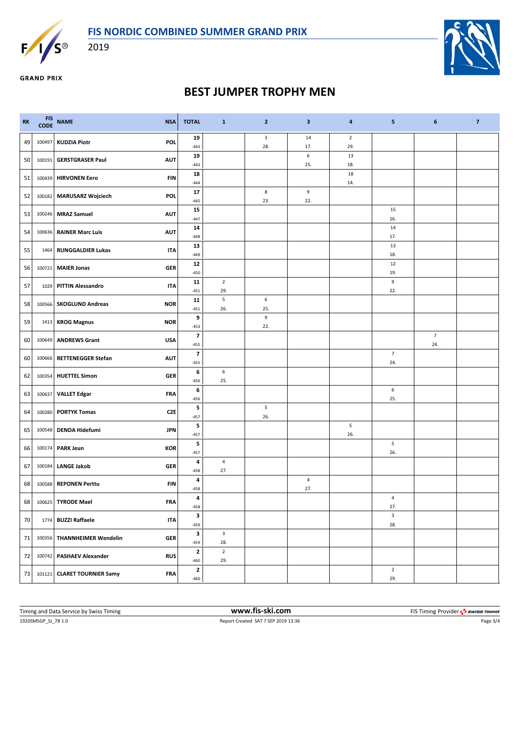

2019





**GRAND PRIX** 

## **BEST JUMPER TROPHY MEN**

| <b>RK</b> | <b>FIS</b><br><b>CODE</b> | <b>NAME</b><br><b>NSA</b>              | <b>TOTAL</b>                                    | $\mathbf{1}$            | $\mathbf{2}$       | $\overline{\mathbf{3}}$ | 4                     | 5                       | 6                        | $\overline{7}$ |
|-----------|---------------------------|----------------------------------------|-------------------------------------------------|-------------------------|--------------------|-------------------------|-----------------------|-------------------------|--------------------------|----------------|
| 49        | 100497                    | <b>KUDZIA Piotr</b><br>POL             | 19<br>$-443$                                    |                         | $\mathsf 3$<br>28. | 14<br>17.               | $\overline{2}$<br>29. |                         |                          |                |
| 50        | 100191                    | <b>AUT</b><br><b>GERSTGRASER Paul</b>  | 19<br>$-443$                                    |                         |                    | 6<br>25.                | 13<br>18.             |                         |                          |                |
| 51        | 100439                    | <b>HIRVONEN Eero</b>                   | 18<br><b>FIN</b><br>$-444$                      |                         |                    |                         | 18<br>14.             |                         |                          |                |
| 52        |                           | 100182 MARUSARZ Wojciech<br>POL        | 17<br>$-445$                                    |                         | 8<br>23.           | 9<br>22.                |                       |                         |                          |                |
| 53        | 100246                    | <b>MRAZ Samuel</b>                     | 15<br><b>AUT</b><br>$-447$                      |                         |                    |                         |                       | 15<br>16.               |                          |                |
| 54        | 100636                    | <b>RAINER Marc Luis</b>                | 14<br><b>AUT</b><br>$-448$                      |                         |                    |                         |                       | 14<br>17.               |                          |                |
| 55        | 1464                      | <b>RUNGGALDIER Lukas</b>               | 13<br><b>ITA</b><br>$-449$                      |                         |                    |                         |                       | 13<br>18.               |                          |                |
| 56        | 100721                    | <b>MAIER Jonas</b><br><b>GER</b>       | 12<br>$-450$                                    |                         |                    |                         |                       | 12<br>19.               |                          |                |
| 57        | 1029                      | <b>PITTIN Alessandro</b>               | 11<br><b>ITA</b><br>$-451$                      | $\overline{2}$<br>29.   |                    |                         |                       | $\boldsymbol{9}$<br>22. |                          |                |
| 58        | 100566                    | <b>SKOGLUND Andreas</b><br><b>NOR</b>  | 11<br>$-451$                                    | $\sf 5$<br>26.          | 6<br>25.           |                         |                       |                         |                          |                |
| 59        | 1413                      | <b>KROG Magnus</b><br><b>NOR</b>       | 9                                               |                         | 9<br>22.           |                         |                       |                         |                          |                |
| 60        | 100649                    | <b>ANDREWS Grant</b><br><b>USA</b>     | $-453$<br>$\overline{\phantom{a}}$              |                         |                    |                         |                       |                         | $\overline{\phantom{a}}$ |                |
| 60        | 100666                    | <b>RETTENEGGER Stefan</b>              | $-455$<br>$\overline{\mathbf{z}}$<br><b>AUT</b> |                         |                    |                         |                       | $\overline{7}$          | 24.                      |                |
| 62        | 100354                    | <b>HUETTEL Simon</b>                   | $-455$<br>6<br><b>GER</b>                       | 6<br>25.                |                    |                         |                       | 24.                     |                          |                |
| 63        | 100637                    | <b>VALLET Edgar</b>                    | $-456$<br>6<br><b>FRA</b>                       |                         |                    |                         |                       | 6                       |                          |                |
| 64        | 100280                    | <b>PORTYK Tomas</b>                    | $-456$<br>5<br><b>CZE</b>                       |                         | 5                  |                         |                       | 25.                     |                          |                |
| 65        | 100548                    | <b>DENDA Hidefumi</b>                  | $-457$<br>5<br><b>JPN</b>                       |                         | 26.                |                         | $5\phantom{.0}$       |                         |                          |                |
| 66        | 100174                    | <b>PARK Jeun</b><br><b>KOR</b>         | $-457$<br>5                                     |                         |                    |                         | 26.                   | 5                       |                          |                |
| 67        | 100184                    | <b>LANGE Jakob</b>                     | $-457$<br>4<br><b>GER</b>                       | $\overline{a}$          |                    |                         |                       | 26.                     |                          |                |
| 68        | 100588                    | <b>REPONEN Perttu</b>                  | $-458$<br>4<br>FIN                              | 27.                     |                    | 4                       |                       |                         |                          |                |
| 68        |                           | 100625 TYRODE Mael                     | $-458$<br>4<br><b>FRA</b>                       |                         |                    | 27.                     |                       | $\overline{4}$          |                          |                |
| 70        |                           | 1774 BUZZI Raffaele                    | $-458$<br>$\mathbf 3$<br><b>ITA</b>             |                         |                    |                         |                       | 27.<br>3                |                          |                |
| 71        |                           | 100356   THANNHEIMER Wendelin          | $-459$<br>3<br><b>GER</b>                       | $\overline{\mathbf{3}}$ |                    |                         |                       | 28.                     |                          |                |
| 72        |                           | <b>RUS</b><br>100742 PASHAEV Alexander | $-459$<br>$\mathbf{2}$                          | 28.<br>$\overline{2}$   |                    |                         |                       |                         |                          |                |
| 73        |                           | 101121 CLARET TOURNIER Samy            | $-460$<br>$\mathbf{2}$<br><b>FRA</b>            | 29.                     |                    |                         |                       | $\mathbf 2$<br>29.      |                          |                |
|           |                           |                                        | $-460$                                          |                         |                    |                         |                       |                         |                          |                |

1920SMSGP\_SJ\_78 1.0 Report Created SAT 7 SEP 2019 13:36 Page 3/4 Timing and Data Service by Swiss Timing **WWW.fis-Ski.com WWW.fis-Ski.com** FIS Timing Provider  $\frac{7}{2}$  SWISS TIMING